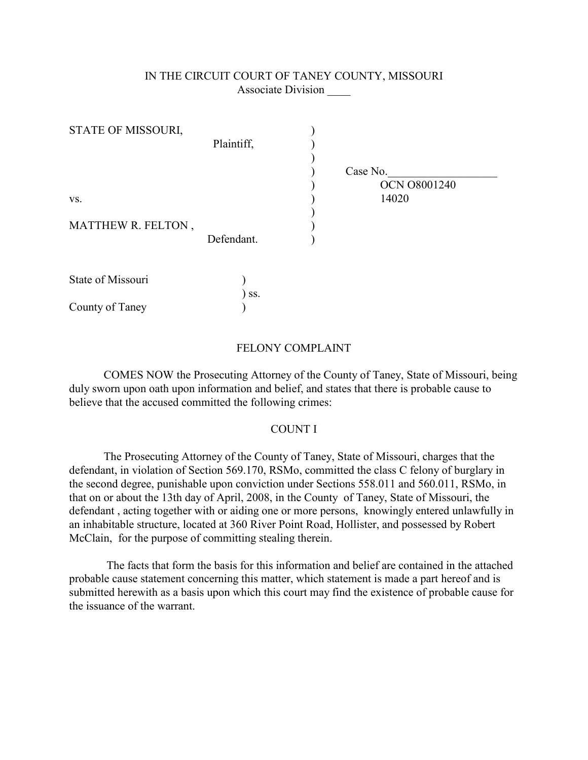## IN THE CIRCUIT COURT OF TANEY COUNTY, MISSOURI Associate Division \_\_\_\_

| STATE OF MISSOURI, |            |                     |
|--------------------|------------|---------------------|
|                    | Plaintiff, |                     |
|                    |            |                     |
|                    |            | Case No.            |
|                    |            | <b>OCN O8001240</b> |
| VS.                |            | 14020               |
|                    |            |                     |
| MATTHEW R. FELTON, |            |                     |
|                    | Defendant. |                     |
|                    |            |                     |
|                    |            |                     |
| State of Missouri  |            |                     |
|                    | SS.        |                     |
| County of Taney    |            |                     |

## FELONY COMPLAINT

COMES NOW the Prosecuting Attorney of the County of Taney, State of Missouri, being duly sworn upon oath upon information and belief, and states that there is probable cause to believe that the accused committed the following crimes:

## COUNT I

The Prosecuting Attorney of the County of Taney, State of Missouri, charges that the defendant, in violation of Section 569.170, RSMo, committed the class C felony of burglary in the second degree, punishable upon conviction under Sections 558.011 and 560.011, RSMo, in that on or about the 13th day of April, 2008, in the County of Taney, State of Missouri, the defendant , acting together with or aiding one or more persons, knowingly entered unlawfully in an inhabitable structure, located at 360 River Point Road, Hollister, and possessed by Robert McClain, for the purpose of committing stealing therein.

 The facts that form the basis for this information and belief are contained in the attached probable cause statement concerning this matter, which statement is made a part hereof and is submitted herewith as a basis upon which this court may find the existence of probable cause for the issuance of the warrant.